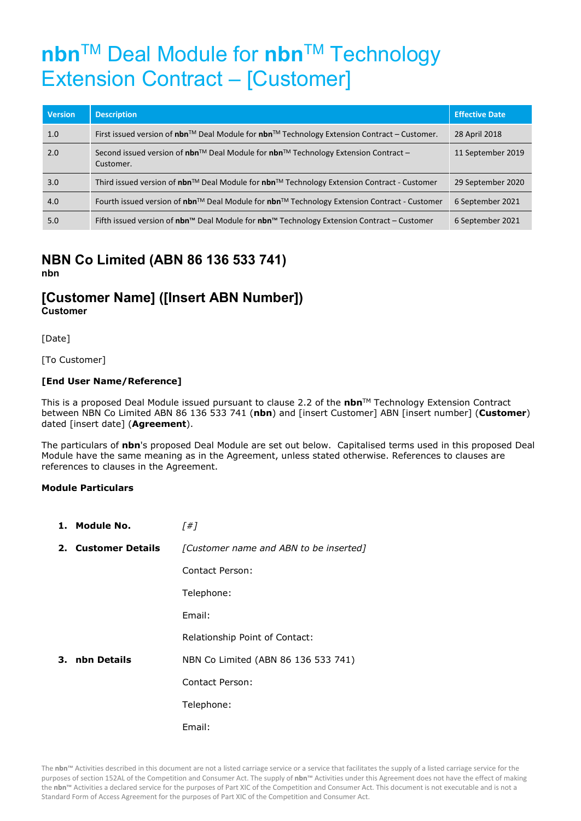# **nbn**TM Deal Module for **nbn**TM Technology Extension Contract – [Customer]

| <b>Version</b> | <b>Description</b>                                                                                              | <b>Effective Date</b> |
|----------------|-----------------------------------------------------------------------------------------------------------------|-----------------------|
| 1.0            | First issued version of nbn™ Deal Module for nbn™ Technology Extension Contract – Customer.                     | 28 April 2018         |
| 2.0            | Second issued version of <b>nbn</b> ™ Deal Module for <b>nbn</b> ™ Technology Extension Contract –<br>Customer. | 11 September 2019     |
| 3.0            | Third issued version of nbn <sup>™</sup> Deal Module for nbn™ Technology Extension Contract - Customer          | 29 September 2020     |
| 4.0            | Fourth issued version of nbn™ Deal Module for nbn™ Technology Extension Contract - Customer                     | 6 September 2021      |
| 5.0            | Fifth issued version of nbn™ Deal Module for nbn™ Technology Extension Contract – Customer                      | 6 September 2021      |

#### **NBN Co Limited (ABN 86 136 533 741) nbn**

## **[Customer Name] ([Insert ABN Number]) Customer**

[Date]

[To Customer]

#### **[End User Name/Reference]**

This is a proposed Deal Module issued pursuant to clause 2.2 of the **nbn**TM Technology Extension Contract between NBN Co Limited ABN 86 136 533 741 (**nbn**) and [insert Customer] ABN [insert number] (**Customer**) dated [insert date] (**Agreement**).

The particulars of **nbn**'s proposed Deal Module are set out below. Capitalised terms used in this proposed Deal Module have the same meaning as in the Agreement, unless stated otherwise. References to clauses are references to clauses in the Agreement.

#### **Module Particulars**

| 1. Module No.       | [#]                                    |
|---------------------|----------------------------------------|
| 2. Customer Details | [Customer name and ABN to be inserted] |
|                     | Contact Person:                        |
|                     | Telephone:                             |
|                     | Email:                                 |
|                     | Relationship Point of Contact:         |
| 3. nbn Details      | NBN Co Limited (ABN 86 136 533 741)    |
|                     | Contact Person:                        |
|                     | Telephone:                             |
|                     | Email:                                 |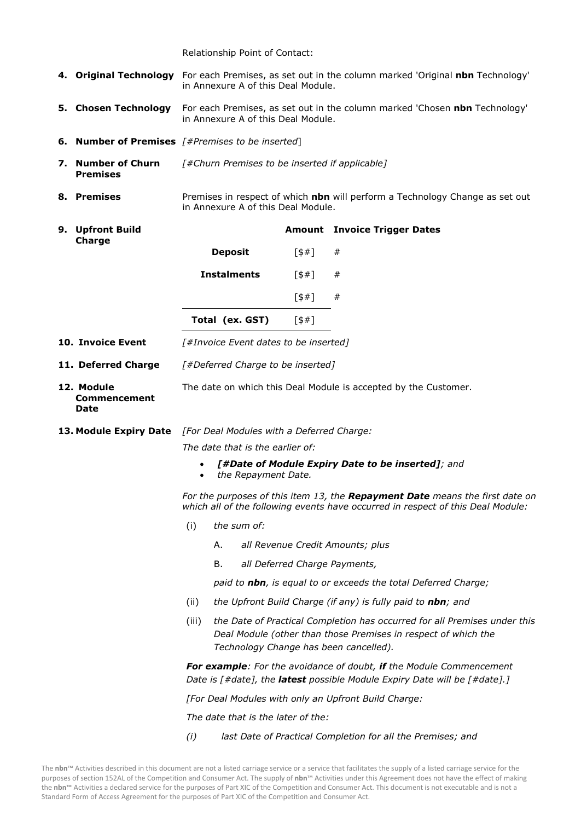Relationship Point of Contact:

|  |                                                                         | 4. Original Technology For each Premises, as set out in the column marked 'Original nbn Technology'<br>in Annexure A of this Deal Module.                                                      |                                                                                                                    |                               |                                                                 |  |  |
|--|-------------------------------------------------------------------------|------------------------------------------------------------------------------------------------------------------------------------------------------------------------------------------------|--------------------------------------------------------------------------------------------------------------------|-------------------------------|-----------------------------------------------------------------|--|--|
|  | 5. Chosen Technology                                                    | For each Premises, as set out in the column marked 'Chosen nbn Technology'<br>in Annexure A of this Deal Module.                                                                               |                                                                                                                    |                               |                                                                 |  |  |
|  |                                                                         |                                                                                                                                                                                                | <b>6. Number of Premises</b> $[#Premises to be inserted]$                                                          |                               |                                                                 |  |  |
|  | 7. Number of Churn<br><b>Premises</b>                                   | [#Churn Premises to be inserted if applicable]                                                                                                                                                 |                                                                                                                    |                               |                                                                 |  |  |
|  | 8. Premises                                                             |                                                                                                                                                                                                | Premises in respect of which nbn will perform a Technology Change as set out<br>in Annexure A of this Deal Module. |                               |                                                                 |  |  |
|  | 9. Upfront Build                                                        |                                                                                                                                                                                                |                                                                                                                    |                               | <b>Amount</b> Invoice Trigger Dates                             |  |  |
|  | Charge                                                                  |                                                                                                                                                                                                | <b>Deposit</b>                                                                                                     | 5#1                           | #                                                               |  |  |
|  |                                                                         |                                                                                                                                                                                                | <b>Instalments</b>                                                                                                 | 5#1                           | #                                                               |  |  |
|  |                                                                         |                                                                                                                                                                                                |                                                                                                                    | [\$#]                         | #                                                               |  |  |
|  |                                                                         |                                                                                                                                                                                                | Total (ex. GST)                                                                                                    | [\$#]                         |                                                                 |  |  |
|  | 10. Invoice Event                                                       |                                                                                                                                                                                                | [#Invoice Event dates to be inserted]                                                                              |                               |                                                                 |  |  |
|  | 11. Deferred Charge                                                     |                                                                                                                                                                                                | [#Deferred Charge to be inserted]                                                                                  |                               |                                                                 |  |  |
|  | 12. Module<br><b>Commencement</b><br><b>Date</b>                        |                                                                                                                                                                                                |                                                                                                                    |                               | The date on which this Deal Module is accepted by the Customer. |  |  |
|  | <b>13. Module Expiry Date</b> [For Deal Modules with a Deferred Charge: |                                                                                                                                                                                                |                                                                                                                    |                               |                                                                 |  |  |
|  |                                                                         | The date that is the earlier of:                                                                                                                                                               |                                                                                                                    |                               |                                                                 |  |  |
|  |                                                                         | [#Date of Module Expiry Date to be inserted]; and<br>the Repayment Date.<br>$\bullet$                                                                                                          |                                                                                                                    |                               |                                                                 |  |  |
|  |                                                                         | For the purposes of this item 13, the Repayment Date means the first date on<br>which all of the following events have occurred in respect of this Deal Module:                                |                                                                                                                    |                               |                                                                 |  |  |
|  |                                                                         | (i)                                                                                                                                                                                            | the sum of:                                                                                                        |                               |                                                                 |  |  |
|  |                                                                         |                                                                                                                                                                                                | Α.                                                                                                                 |                               | all Revenue Credit Amounts; plus                                |  |  |
|  |                                                                         |                                                                                                                                                                                                | В.                                                                                                                 | all Deferred Charge Payments, |                                                                 |  |  |
|  |                                                                         | paid to nbn, is equal to or exceeds the total Deferred Charge;                                                                                                                                 |                                                                                                                    |                               |                                                                 |  |  |
|  |                                                                         | the Upfront Build Charge (if any) is fully paid to nbn; and<br>(ii)                                                                                                                            |                                                                                                                    |                               |                                                                 |  |  |
|  |                                                                         | the Date of Practical Completion has occurred for all Premises under this<br>(iii)<br>Deal Module (other than those Premises in respect of which the<br>Technology Change has been cancelled). |                                                                                                                    |                               |                                                                 |  |  |
|  |                                                                         | For example: For the avoidance of doubt, if the Module Commencement<br>Date is [#date], the latest possible Module Expiry Date will be [#date].]                                               |                                                                                                                    |                               |                                                                 |  |  |
|  |                                                                         | [For Deal Modules with only an Upfront Build Charge:                                                                                                                                           |                                                                                                                    |                               |                                                                 |  |  |
|  |                                                                         | The date that is the later of the:                                                                                                                                                             |                                                                                                                    |                               |                                                                 |  |  |
|  |                                                                         | (i)                                                                                                                                                                                            |                                                                                                                    |                               | last Date of Practical Completion for all the Premises; and     |  |  |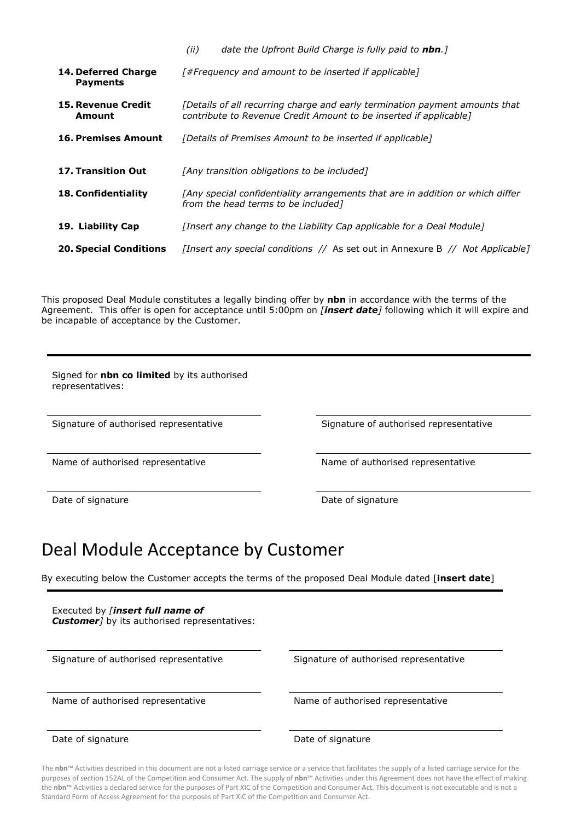|                                        | date the Upfront Build Charge is fully paid to nbn.]<br>(ii)                                                                                     |  |  |  |  |
|----------------------------------------|--------------------------------------------------------------------------------------------------------------------------------------------------|--|--|--|--|
| 14. Deferred Charge<br><b>Payments</b> | [#Frequency and amount to be inserted if applicable]                                                                                             |  |  |  |  |
| <b>15. Revenue Credit</b><br>Amount    | [Details of all recurring charge and early termination payment amounts that<br>contribute to Revenue Credit Amount to be inserted if applicable] |  |  |  |  |
| <b>16. Premises Amount</b>             | [Details of Premises Amount to be inserted if applicable]                                                                                        |  |  |  |  |
| <b>17. Transition Out</b>              | [Any transition obligations to be included]                                                                                                      |  |  |  |  |
| <b>18. Confidentiality</b>             | [Any special confidentiality arrangements that are in addition or which differ<br>from the head terms to be included]                            |  |  |  |  |
| 19. Liability Cap                      | [Insert any change to the Liability Cap applicable for a Deal Module]                                                                            |  |  |  |  |
| <b>20. Special Conditions</b>          | [Insert any special conditions // As set out in Annexure B // Not Applicable]                                                                    |  |  |  |  |

This proposed Deal Module constitutes a legally binding offer by **nbn** in accordance with the terms of the Agreement. This offer is open for acceptance until 5:00pm on *[insert date]* following which it will expire and be incapable of acceptance by the Customer.

Signed for **nbn co limited** by its authorised representatives:

Signature of authorised representative Signature of authorised representative

Name of authorised representative Name of authorised representative

Date of signature Date of signature Date of signature

## Deal Module Acceptance by Customer

By executing below the Customer accepts the terms of the proposed Deal Module dated [**insert date**]

| Executed by <i>[insert full name of</i><br><b>Customer</b> ] by its authorised representatives: |                                        |
|-------------------------------------------------------------------------------------------------|----------------------------------------|
| Signature of authorised representative                                                          | Signature of authorised representative |
| Name of authorised representative                                                               | Name of authorised representative      |
| Date of signature                                                                               | Date of signature                      |